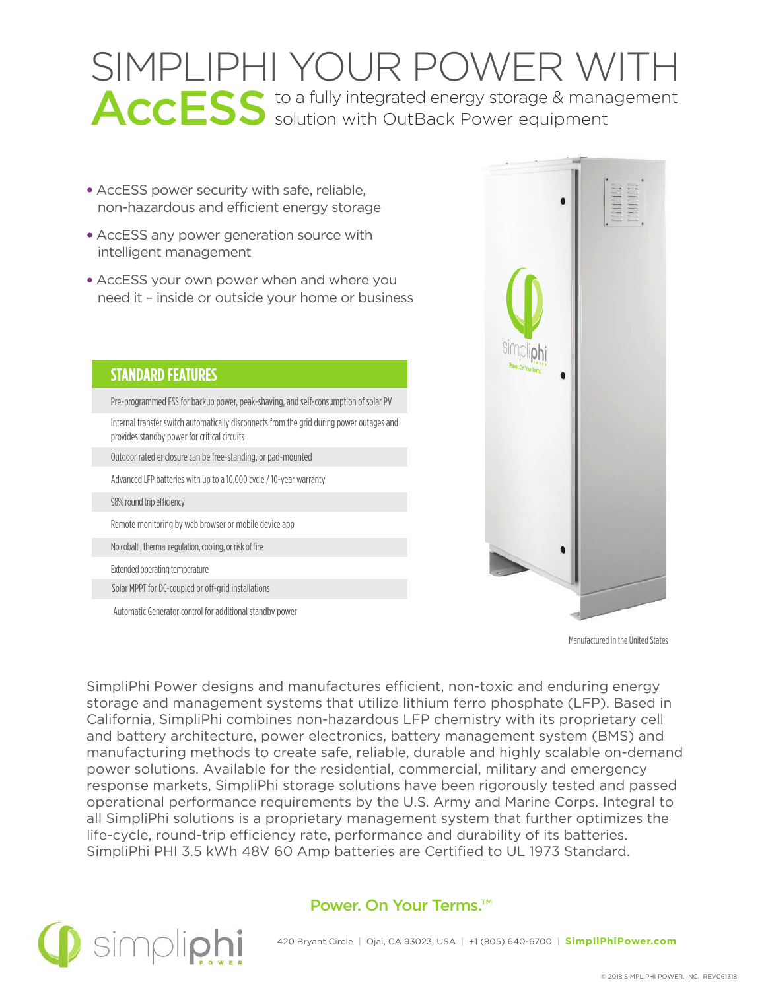# SIMPLIPHI YOUR POWER WITH ACCESS to a fully integrated energy storage & management<br>
solution with OutBack Power equipment

- AccESS power security with safe, reliable, non-hazardous and efficient energy storage
- AccESS any power generation source with intelligent management
- AccESS your own power when and where you need it – inside or outside your home or business

**OPTIONAL FEATURES** Automatic Generator control for additional standby power



Manufactured in the United States

SimpliPhi Power designs and manufactures efficient, non-toxic and enduring energy storage and management systems that utilize lithium ferro phosphate (LFP). Based in California, SimpliPhi combines non-hazardous LFP chemistry with its proprietary cell and battery architecture, power electronics, battery management system (BMS) and manufacturing methods to create safe, reliable, durable and highly scalable on-demand power solutions. Available for the residential, commercial, military and emergency response markets, SimpliPhi storage solutions have been rigorously tested and passed operational performance requirements by the U.S. Army and Marine Corps. Integral to all SimpliPhi solutions is a proprietary management system that further optimizes the life-cycle, round-trip efficiency rate, performance and durability of its batteries. SimpliPhi PHI 3.5 kWh 48V 60 Amp batteries are Certified to UL 1973 Standard.





#### 420 Bryant Circle | Ojai, CA 93023, USA | +1 (805) 640-6700 | **SimpliPhiPower.com**